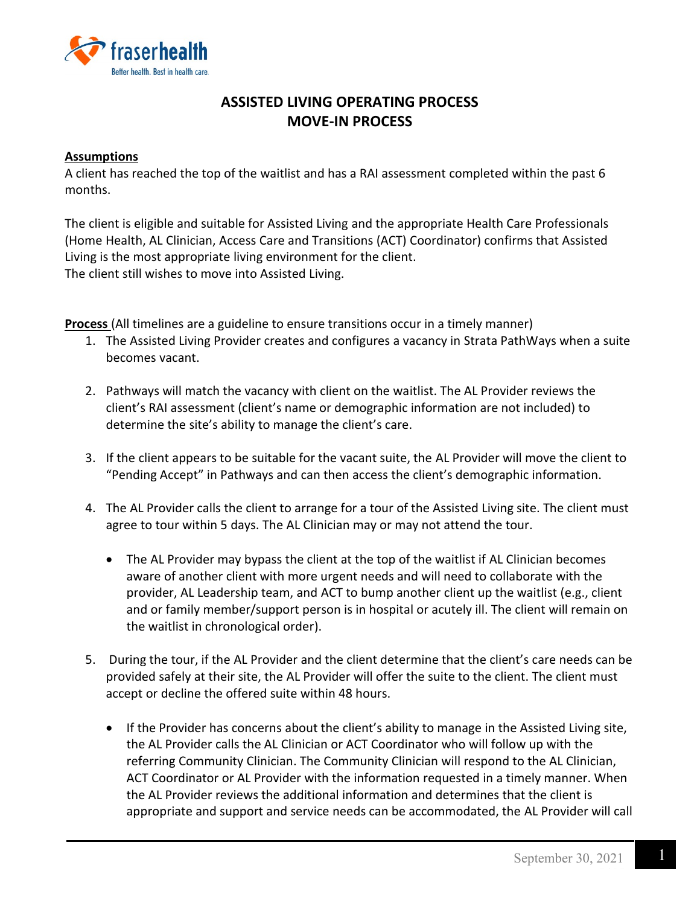

# **ASSISTED LIVING OPERATING PROCESS MOVE-IN PROCESS**

### **Assumptions**

A client has reached the top of the waitlist and has a RAI assessment completed within the past 6 months.

The client is eligible and suitable for Assisted Living and the appropriate Health Care Professionals (Home Health, AL Clinician, Access Care and Transitions (ACT) Coordinator) confirms that Assisted Living is the most appropriate living environment for the client. The client still wishes to move into Assisted Living.

**Process** (All timelines are a guideline to ensure transitions occur in a timely manner)

- 1. The Assisted Living Provider creates and configures a vacancy in Strata PathWays when a suite becomes vacant.
- 2. Pathways will match the vacancy with client on the waitlist. The AL Provider reviews the client's RAI assessment (client's name or demographic information are not included) to determine the site's ability to manage the client's care.
- 3. If the client appears to be suitable for the vacant suite, the AL Provider will move the client to "Pending Accept" in Pathways and can then access the client's demographic information.
- 4. The AL Provider calls the client to arrange for a tour of the Assisted Living site. The client must agree to tour within 5 days. The AL Clinician may or may not attend the tour.
	- The AL Provider may bypass the client at the top of the waitlist if AL Clinician becomes aware of another client with more urgent needs and will need to collaborate with the provider, AL Leadership team, and ACT to bump another client up the waitlist (e.g., client and or family member/support person is in hospital or acutely ill. The client will remain on the waitlist in chronological order).
- 5. During the tour, if the AL Provider and the client determine that the client's care needs can be provided safely at their site, the AL Provider will offer the suite to the client. The client must accept or decline the offered suite within 48 hours.
	- If the Provider has concerns about the client's ability to manage in the Assisted Living site, the AL Provider calls the AL Clinician or ACT Coordinator who will follow up with the referring Community Clinician. The Community Clinician will respond to the AL Clinician, ACT Coordinator or AL Provider with the information requested in a timely manner. When the AL Provider reviews the additional information and determines that the client is appropriate and support and service needs can be accommodated, the AL Provider will call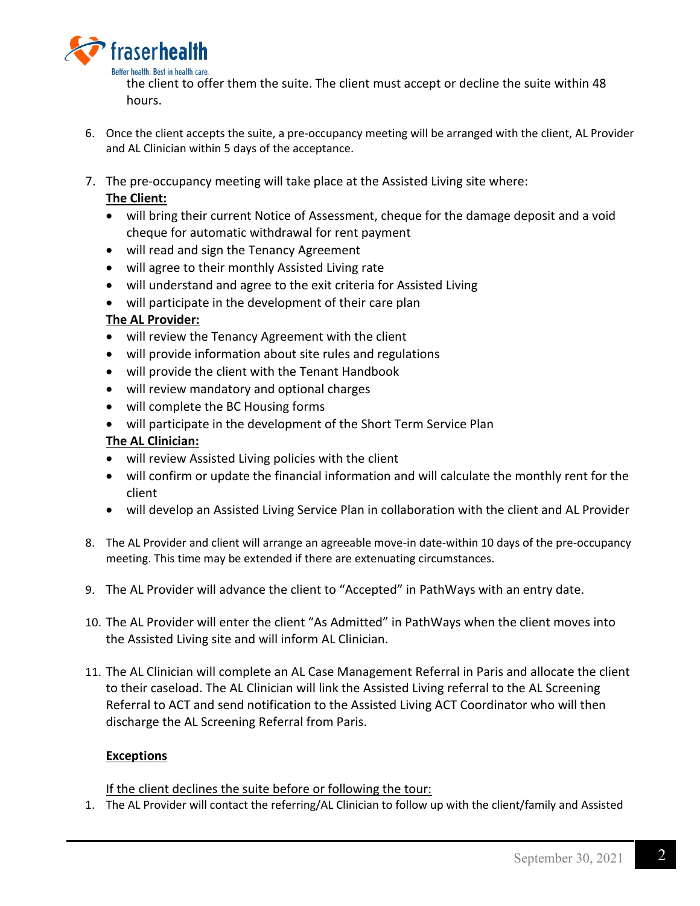

the client to offer them the suite. The client must accept or decline the suite within 48 hours.

- 6. Once the client accepts the suite, a pre-occupancy meeting will be arranged with the client, AL Provider and AL Clinician within 5 days of the acceptance.
- 7. The pre-occupancy meeting will take place at the Assisted Living site where: **The Client:** 
	- will bring their current Notice of Assessment, cheque for the damage deposit and a void cheque for automatic withdrawal for rent payment
	- will read and sign the Tenancy Agreement
	- will agree to their monthly Assisted Living rate
	- will understand and agree to the exit criteria for Assisted Living
	- will participate in the development of their care plan

## **The AL Provider:**

- will review the Tenancy Agreement with the client
- will provide information about site rules and regulations
- will provide the client with the Tenant Handbook
- will review mandatory and optional charges
- will complete the BC Housing forms
- will participate in the development of the Short Term Service Plan

## **The AL Clinician:**

- will review Assisted Living policies with the client
- will confirm or update the financial information and will calculate the monthly rent for the client
- will develop an Assisted Living Service Plan in collaboration with the client and AL Provider
- 8. The AL Provider and client will arrange an agreeable move-in date-within 10 days of the pre-occupancy meeting. This time may be extended if there are extenuating circumstances.
- 9. The AL Provider will advance the client to "Accepted" in PathWays with an entry date.
- 10. The AL Provider will enter the client "As Admitted" in PathWays when the client moves into the Assisted Living site and will inform AL Clinician.
- 11. The AL Clinician will complete an AL Case Management Referral in Paris and allocate the client to their caseload. The AL Clinician will link the Assisted Living referral to the AL Screening Referral to ACT and send notification to the Assisted Living ACT Coordinator who will then discharge the AL Screening Referral from Paris.

## **Exceptions**

If the client declines the suite before or following the tour:

1. The AL Provider will contact the referring/AL Clinician to follow up with the client/family and Assisted